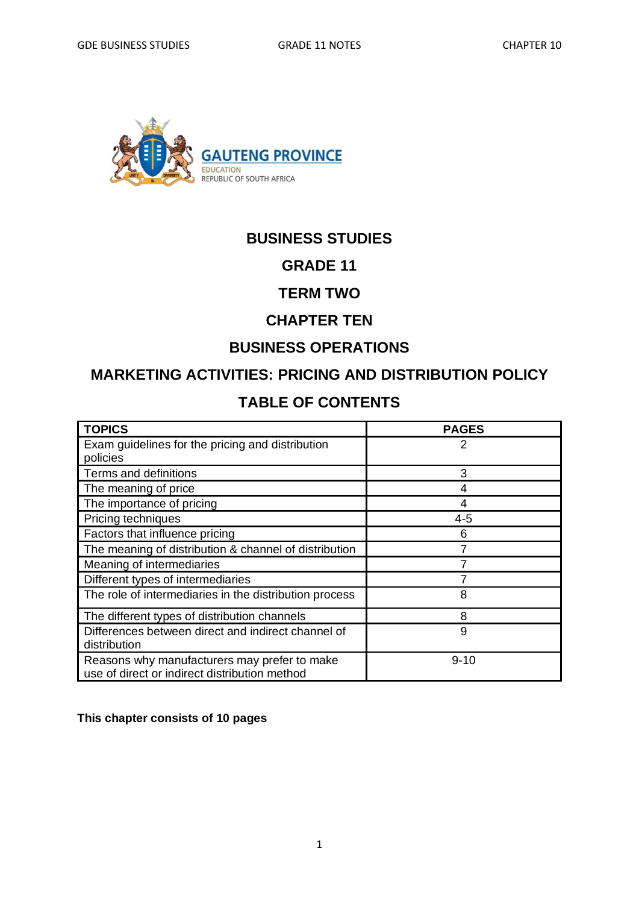

# **BUSINESS STUDIES**

## **GRADE 11**

## **TERM TWO**

# **CHAPTER TEN**

# **BUSINESS OPERATIONS**

# **MARKETING ACTIVITIES: PRICING AND DISTRIBUTION POLICY**

# **TABLE OF CONTENTS**

| <b>TOPICS</b>                                                                                 | <b>PAGES</b> |
|-----------------------------------------------------------------------------------------------|--------------|
| Exam guidelines for the pricing and distribution                                              | 2            |
| policies                                                                                      |              |
| Terms and definitions                                                                         | 3            |
| The meaning of price                                                                          | 4            |
| The importance of pricing                                                                     | 4            |
| Pricing techniques                                                                            | 4-5          |
| Factors that influence pricing                                                                | 6            |
| The meaning of distribution & channel of distribution                                         |              |
| Meaning of intermediaries                                                                     |              |
| Different types of intermediaries                                                             |              |
| The role of intermediaries in the distribution process                                        | 8            |
| The different types of distribution channels                                                  | 8            |
| Differences between direct and indirect channel of<br>distribution                            | 9            |
| Reasons why manufacturers may prefer to make<br>use of direct or indirect distribution method | $9 - 10$     |

**This chapter consists of 10 pages**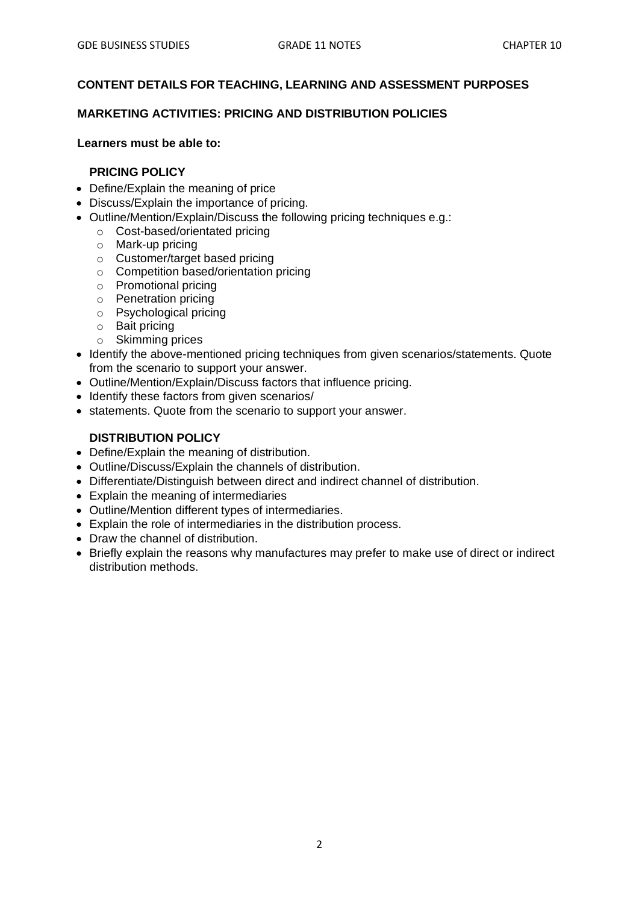#### **CONTENT DETAILS FOR TEACHING, LEARNING AND ASSESSMENT PURPOSES**

#### **MARKETING ACTIVITIES: PRICING AND DISTRIBUTION POLICIES**

#### **Learners must be able to:**

#### **PRICING POLICY**

- Define/Explain the meaning of price
- Discuss/Explain the importance of pricing.
- Outline/Mention/Explain/Discuss the following pricing techniques e.g.:
	- o Cost-based/orientated pricing
	- o Mark-up pricing
	- o Customer/target based pricing
	- o Competition based/orientation pricing
	- o Promotional pricing
	- o Penetration pricing
	- o Psychological pricing
	- o Bait pricing
	- o Skimming prices
- Identify the above-mentioned pricing techniques from given scenarios/statements. Quote from the scenario to support your answer.
- Outline/Mention/Explain/Discuss factors that influence pricing.
- Identify these factors from given scenarios/
- statements. Quote from the scenario to support your answer.

#### **DISTRIBUTION POLICY**

- Define/Explain the meaning of distribution.
- Outline/Discuss/Explain the channels of distribution.
- Differentiate/Distinguish between direct and indirect channel of distribution.
- Explain the meaning of intermediaries
- Outline/Mention different types of intermediaries.
- Explain the role of intermediaries in the distribution process.
- Draw the channel of distribution.
- Briefly explain the reasons why manufactures may prefer to make use of direct or indirect distribution methods.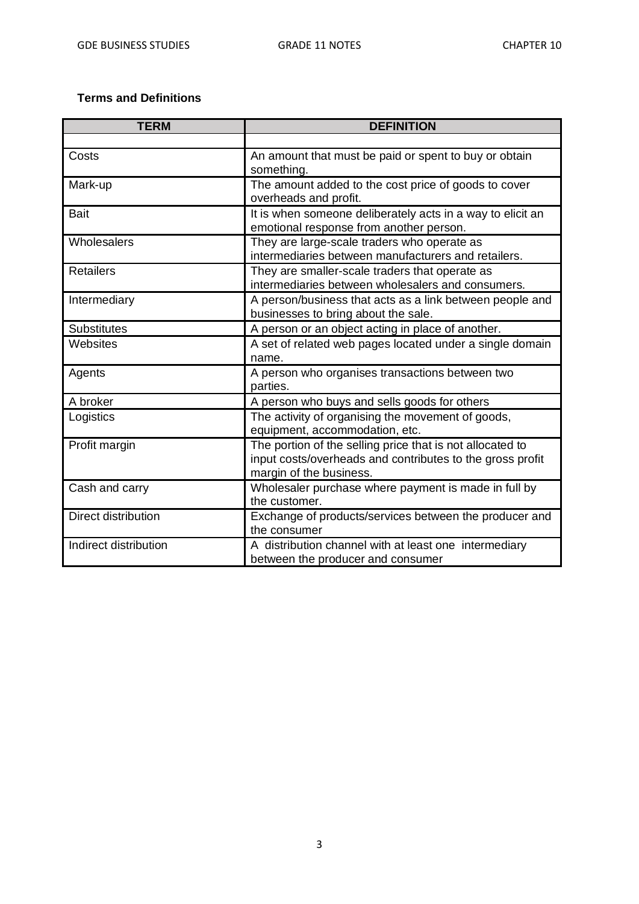## **Terms and Definitions**

| <b>TERM</b>                | <b>DEFINITION</b>                                                                                                                                 |
|----------------------------|---------------------------------------------------------------------------------------------------------------------------------------------------|
|                            |                                                                                                                                                   |
| Costs                      | An amount that must be paid or spent to buy or obtain<br>something.                                                                               |
| Mark-up                    | The amount added to the cost price of goods to cover<br>overheads and profit.                                                                     |
| <b>Bait</b>                | It is when someone deliberately acts in a way to elicit an<br>emotional response from another person.                                             |
| Wholesalers                | They are large-scale traders who operate as<br>intermediaries between manufacturers and retailers.                                                |
| <b>Retailers</b>           | They are smaller-scale traders that operate as<br>intermediaries between wholesalers and consumers.                                               |
| Intermediary               | A person/business that acts as a link between people and<br>businesses to bring about the sale.                                                   |
| <b>Substitutes</b>         | A person or an object acting in place of another.                                                                                                 |
| Websites                   | A set of related web pages located under a single domain<br>name.                                                                                 |
| Agents                     | A person who organises transactions between two<br>parties.                                                                                       |
| A broker                   | A person who buys and sells goods for others                                                                                                      |
| Logistics                  | The activity of organising the movement of goods,<br>equipment, accommodation, etc.                                                               |
| Profit margin              | The portion of the selling price that is not allocated to<br>input costs/overheads and contributes to the gross profit<br>margin of the business. |
| Cash and carry             | Wholesaler purchase where payment is made in full by<br>the customer.                                                                             |
| <b>Direct distribution</b> | Exchange of products/services between the producer and<br>the consumer                                                                            |
| Indirect distribution      | A distribution channel with at least one intermediary<br>between the producer and consumer                                                        |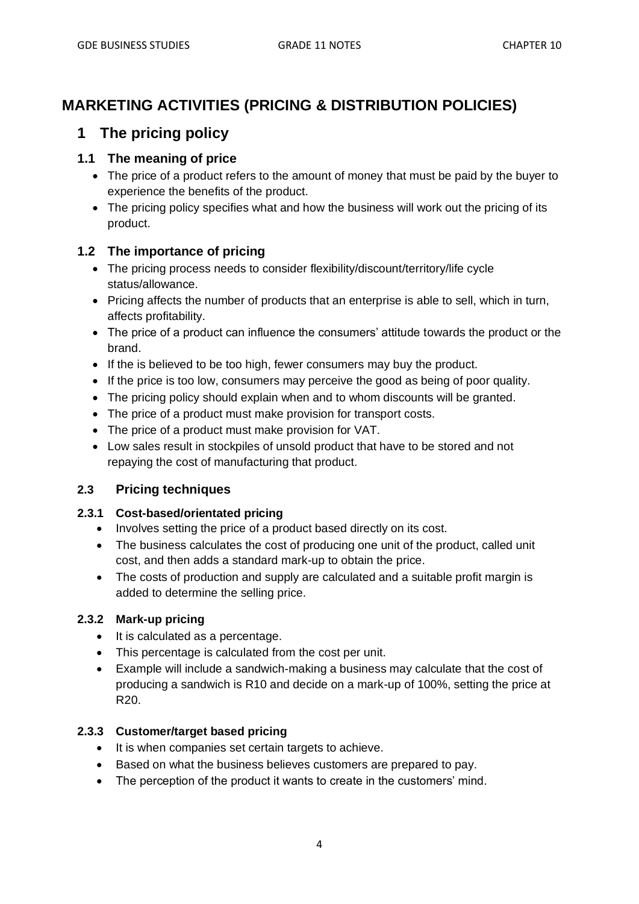# **MARKETING ACTIVITIES (PRICING & DISTRIBUTION POLICIES)**

# **1 The pricing policy**

## **1.1 The meaning of price**

- The price of a product refers to the amount of money that must be paid by the buyer to experience the benefits of the product.
- The pricing policy specifies what and how the business will work out the pricing of its product.

## **1.2 The importance of pricing**

- The pricing process needs to consider flexibility/discount/territory/life cycle status/allowance.
- Pricing affects the number of products that an enterprise is able to sell, which in turn, affects profitability.
- The price of a product can influence the consumers' attitude towards the product or the brand.
- If the is believed to be too high, fewer consumers may buy the product.
- If the price is too low, consumers may perceive the good as being of poor quality.
- The pricing policy should explain when and to whom discounts will be granted.
- The price of a product must make provision for transport costs.
- The price of a product must make provision for VAT.
- Low sales result in stockpiles of unsold product that have to be stored and not repaying the cost of manufacturing that product.

## **2.3 Pricing techniques**

## **2.3.1 Cost-based/orientated pricing**

- Involves setting the price of a product based directly on its cost.
- The business calculates the cost of producing one unit of the product, called unit cost, and then adds a standard mark-up to obtain the price.
- The costs of production and supply are calculated and a suitable profit margin is added to determine the selling price.

## **2.3.2 Mark-up pricing**

- It is calculated as a percentage.
- This percentage is calculated from the cost per unit.
- Example will include a sandwich-making a business may calculate that the cost of producing a sandwich is R10 and decide on a mark-up of 100%, setting the price at R20.

## **2.3.3 Customer/target based pricing**

- It is when companies set certain targets to achieve.
- Based on what the business believes customers are prepared to pay.
- The perception of the product it wants to create in the customers' mind.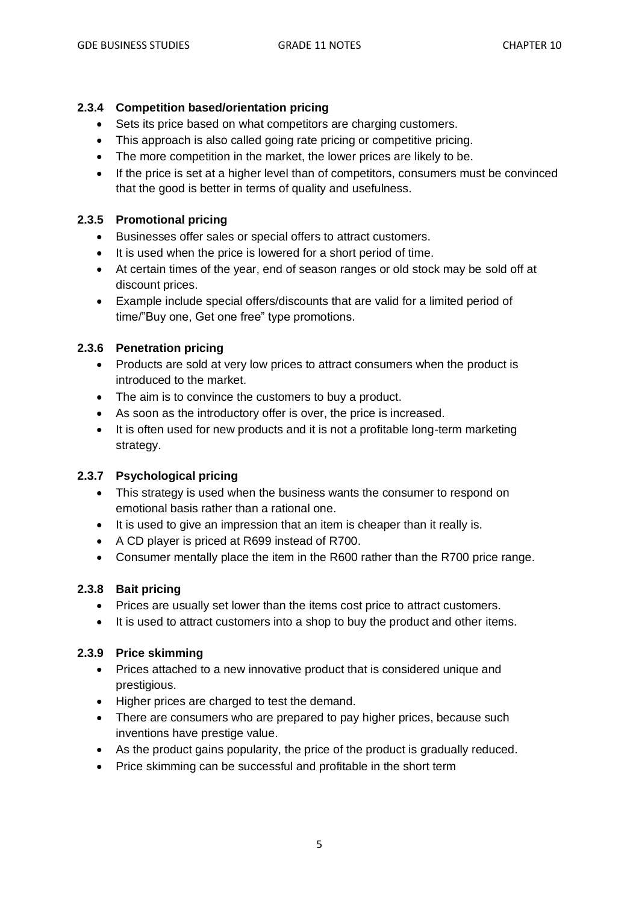### **2.3.4 Competition based/orientation pricing**

- Sets its price based on what competitors are charging customers.
- This approach is also called going rate pricing or competitive pricing.
- The more competition in the market, the lower prices are likely to be.
- If the price is set at a higher level than of competitors, consumers must be convinced that the good is better in terms of quality and usefulness.

### **2.3.5 Promotional pricing**

- Businesses offer sales or special offers to attract customers.
- It is used when the price is lowered for a short period of time.
- At certain times of the year, end of season ranges or old stock may be sold off at discount prices.
- Example include special offers/discounts that are valid for a limited period of time/"Buy one, Get one free" type promotions.

### **2.3.6 Penetration pricing**

- Products are sold at very low prices to attract consumers when the product is introduced to the market.
- The aim is to convince the customers to buy a product.
- As soon as the introductory offer is over, the price is increased.
- It is often used for new products and it is not a profitable long-term marketing strategy.

#### **2.3.7 Psychological pricing**

- This strategy is used when the business wants the consumer to respond on emotional basis rather than a rational one.
- It is used to give an impression that an item is cheaper than it really is.
- A CD player is priced at R699 instead of R700.
- Consumer mentally place the item in the R600 rather than the R700 price range.

#### **2.3.8 Bait pricing**

- Prices are usually set lower than the items cost price to attract customers.
- It is used to attract customers into a shop to buy the product and other items.

#### **2.3.9 Price skimming**

- Prices attached to a new innovative product that is considered unique and prestigious.
- Higher prices are charged to test the demand.
- There are consumers who are prepared to pay higher prices, because such inventions have prestige value.
- As the product gains popularity, the price of the product is gradually reduced.
- Price skimming can be successful and profitable in the short term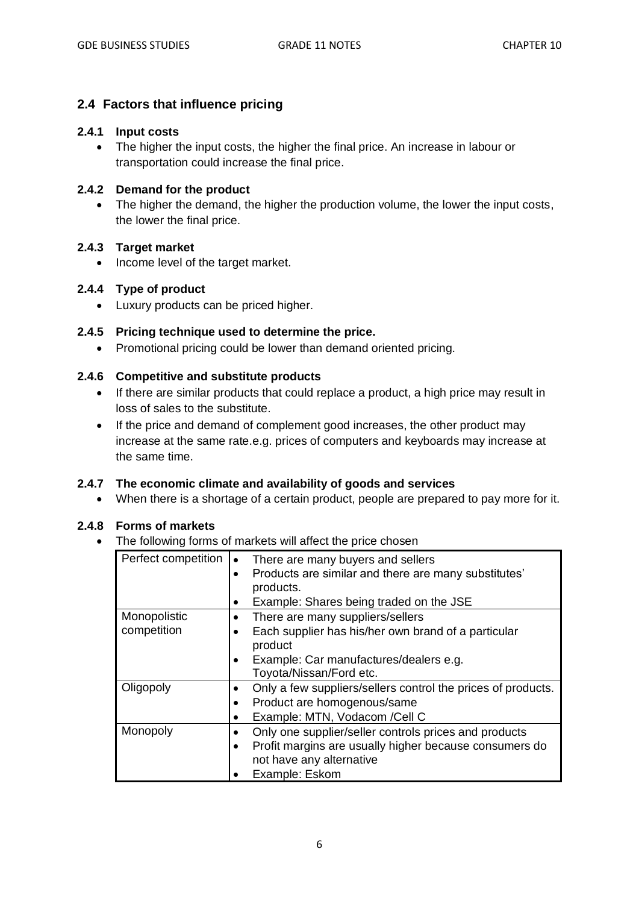## **2.4 Factors that influence pricing**

#### **2.4.1 Input costs**

• The higher the input costs, the higher the final price. An increase in labour or transportation could increase the final price.

#### **2.4.2 Demand for the product**

The higher the demand, the higher the production volume, the lower the input costs, the lower the final price.

#### **2.4.3 Target market**

• Income level of the target market.

## **2.4.4 Type of product**

• Luxury products can be priced higher.

#### **2.4.5 Pricing technique used to determine the price.**

• Promotional pricing could be lower than demand oriented pricing.

#### **2.4.6 Competitive and substitute products**

- If there are similar products that could replace a product, a high price may result in loss of sales to the substitute.
- If the price and demand of complement good increases, the other product may increase at the same rate.e.g. prices of computers and keyboards may increase at the same time.

#### **2.4.7 The economic climate and availability of goods and services**

• When there is a shortage of a certain product, people are prepared to pay more for it.

#### **2.4.8 Forms of markets**

• The following forms of markets will affect the price chosen

| Perfect competition         | There are many buyers and sellers<br>Products are similar and there are many substitutes'<br>products.<br>Example: Shares being traded on the JSE                            |
|-----------------------------|------------------------------------------------------------------------------------------------------------------------------------------------------------------------------|
| Monopolistic<br>competition | There are many suppliers/sellers<br>٠<br>Each supplier has his/her own brand of a particular<br>product<br>Example: Car manufactures/dealers e.g.<br>Toyota/Nissan/Ford etc. |
| Oligopoly                   | Only a few suppliers/sellers control the prices of products.<br>Product are homogenous/same<br>Example: MTN, Vodacom /Cell C                                                 |
| Monopoly                    | Only one supplier/seller controls prices and products<br>$\bullet$<br>Profit margins are usually higher because consumers do<br>not have any alternative<br>Example: Eskom   |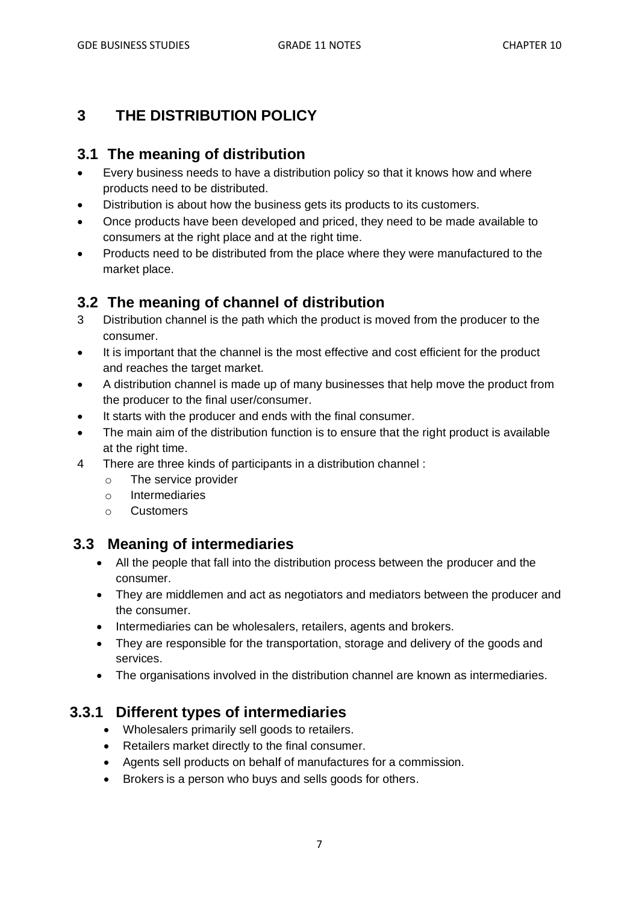# **3 THE DISTRIBUTION POLICY**

## **3.1 The meaning of distribution**

- Every business needs to have a distribution policy so that it knows how and where products need to be distributed.
- Distribution is about how the business gets its products to its customers.
- Once products have been developed and priced, they need to be made available to consumers at the right place and at the right time.
- Products need to be distributed from the place where they were manufactured to the market place.

## **3.2 The meaning of channel of distribution**

- 3 Distribution channel is the path which the product is moved from the producer to the consumer.
- It is important that the channel is the most effective and cost efficient for the product and reaches the target market.
- A distribution channel is made up of many businesses that help move the product from the producer to the final user/consumer.
- It starts with the producer and ends with the final consumer.
- The main aim of the distribution function is to ensure that the right product is available at the right time.
- 4 There are three kinds of participants in a distribution channel :
	- o The service provider
	- o Intermediaries
	- o Customers

## **3.3 Meaning of intermediaries**

- All the people that fall into the distribution process between the producer and the consumer.
- They are middlemen and act as negotiators and mediators between the producer and the consumer.
- Intermediaries can be wholesalers, retailers, agents and brokers.
- They are responsible for the transportation, storage and delivery of the goods and services.
- The organisations involved in the distribution channel are known as intermediaries.

## **3.3.1 Different types of intermediaries**

- Wholesalers primarily sell goods to retailers.
- Retailers market directly to the final consumer.
- Agents sell products on behalf of manufactures for a commission.
- Brokers is a person who buys and sells goods for others.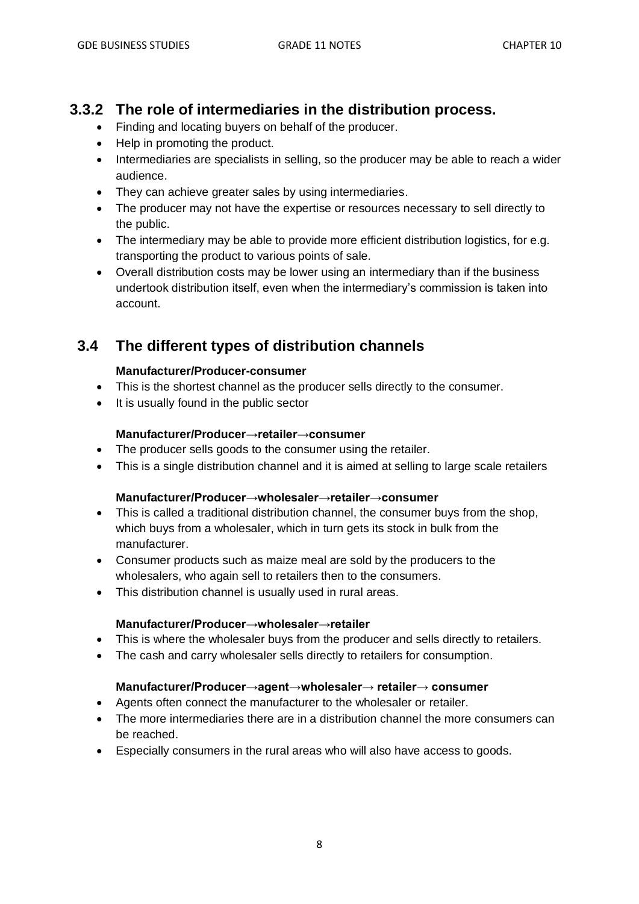## **3.3.2 The role of intermediaries in the distribution process.**

- Finding and locating buyers on behalf of the producer.
- Help in promoting the product.
- Intermediaries are specialists in selling, so the producer may be able to reach a wider audience.
- They can achieve greater sales by using intermediaries.
- The producer may not have the expertise or resources necessary to sell directly to the public.
- The intermediary may be able to provide more efficient distribution logistics, for e.g. transporting the product to various points of sale.
- Overall distribution costs may be lower using an intermediary than if the business undertook distribution itself, even when the intermediary's commission is taken into account.

# **3.4 The different types of distribution channels**

### **Manufacturer/Producer-consumer**

- This is the shortest channel as the producer sells directly to the consumer.
- It is usually found in the public sector

### **Manufacturer/Producer→retailer→consumer**

- The producer sells goods to the consumer using the retailer.
- This is a single distribution channel and it is aimed at selling to large scale retailers

#### **Manufacturer/Producer→wholesaler→retailer→consumer**

- This is called a traditional distribution channel, the consumer buys from the shop, which buys from a wholesaler, which in turn gets its stock in bulk from the manufacturer.
- Consumer products such as maize meal are sold by the producers to the wholesalers, who again sell to retailers then to the consumers.
- This distribution channel is usually used in rural areas.

#### **Manufacturer/Producer→wholesaler→retailer**

- This is where the wholesaler buys from the producer and sells directly to retailers.
- The cash and carry wholesaler sells directly to retailers for consumption.

#### **Manufacturer/Producer→agent→wholesaler→ retailer→ consumer**

- Agents often connect the manufacturer to the wholesaler or retailer.
- The more intermediaries there are in a distribution channel the more consumers can be reached.
- Especially consumers in the rural areas who will also have access to goods.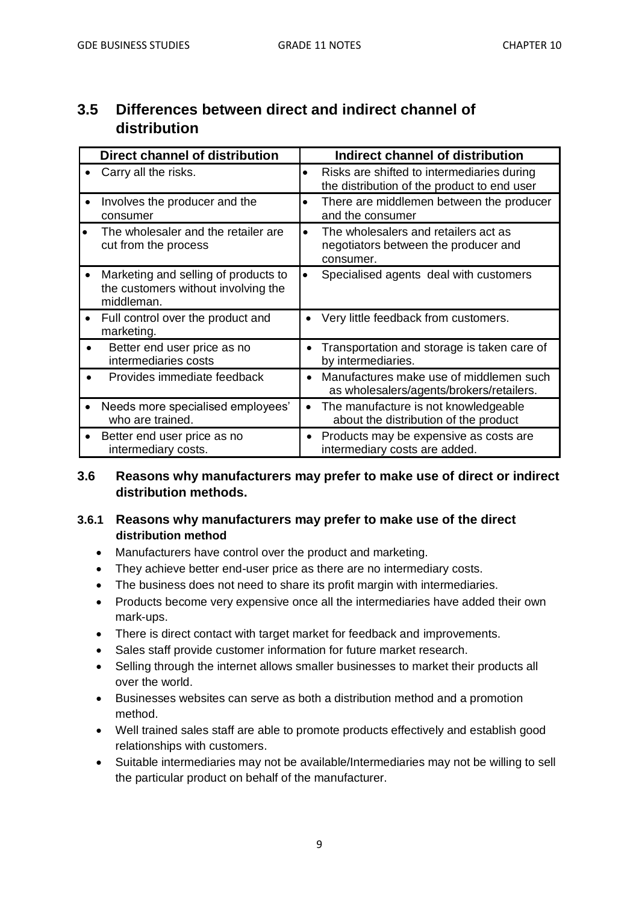| uisu iiuutivii                                                                            |                                                                                                        |
|-------------------------------------------------------------------------------------------|--------------------------------------------------------------------------------------------------------|
| Direct channel of distribution                                                            | Indirect channel of distribution                                                                       |
| Carry all the risks.                                                                      | Risks are shifted to intermediaries during<br>$\bullet$<br>the distribution of the product to end user |
| Involves the producer and the<br>consumer                                                 | There are middlemen between the producer<br>$\bullet$<br>and the consumer                              |
| The wholesaler and the retailer are<br>cut from the process                               | The wholesalers and retailers act as<br>$\bullet$<br>negotiators between the producer and<br>consumer. |
| Marketing and selling of products to<br>the customers without involving the<br>middleman. | Specialised agents deal with customers<br>$\bullet$                                                    |
| Full control over the product and<br>marketing.                                           | Very little feedback from customers.                                                                   |
| Better end user price as no<br>intermediaries costs                                       | Transportation and storage is taken care of<br>by intermediaries.                                      |
| Provides immediate feedback                                                               | Manufactures make use of middlemen such<br>as wholesalers/agents/brokers/retailers.                    |
| Needs more specialised employees'<br>who are trained.                                     | The manufacture is not knowledgeable<br>about the distribution of the product                          |
| Better end user price as no<br>intermediary costs.                                        | Products may be expensive as costs are<br>٠<br>intermediary costs are added.                           |

# **3.5 Differences between direct and indirect channel of distribution**

## **3.6 Reasons why manufacturers may prefer to make use of direct or indirect distribution methods.**

## **3.6.1 Reasons why manufacturers may prefer to make use of the direct distribution method**

- Manufacturers have control over the product and marketing.
- They achieve better end-user price as there are no intermediary costs.
- The business does not need to share its profit margin with intermediaries.
- Products become very expensive once all the intermediaries have added their own mark-ups.
- There is direct contact with target market for feedback and improvements.
- Sales staff provide customer information for future market research.
- Selling through the internet allows smaller businesses to market their products all over the world.
- Businesses websites can serve as both a distribution method and a promotion method.
- Well trained sales staff are able to promote products effectively and establish good relationships with customers.
- Suitable intermediaries may not be available/Intermediaries may not be willing to sell the particular product on behalf of the manufacturer.